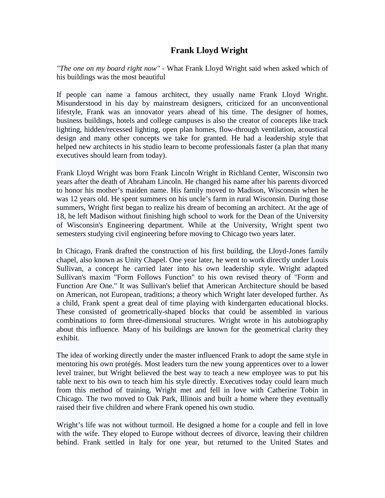## **Frank Lloyd Wright**

*"The one on my board right now"* - What Frank Lloyd Wright said when asked which of his buildings was the most beautiful

If people can name a famous architect, they usually name Frank Lloyd Wright. Misunderstood in his day by mainstream designers, criticized for an unconventional lifestyle, Frank was an innovator years ahead of his time. The designer of homes, business buildings, hotels and college campuses is also the creator of concepts like track lighting, hidden/recessed lighting, open plan homes, flow-through ventilation, acoustical design and many other concepts we take for granted. He had a leadership style that helped new architects in his studio learn to become professionals faster (a plan that many executives should learn from today).

Frank Lloyd Wright was born Frank Lincoln Wright in Richland Center, Wisconsin two years after the death of Abraham Lincoln. He changed his name after his parents divorced to honor his mother's maiden name. His family moved to Madison, Wisconsin when he was 12 years old. He spent summers on his uncle's farm in rural Wisconsin. During those summers, Wright first began to realize his dream of becoming an architect. At the age of 18, he left Madison without finishing high school to work for the Dean of the University of Wisconsin's Engineering department. While at the University, Wright spent two semesters studying civil engineering before moving to Chicago two years later.

In Chicago, Frank drafted the construction of his first building, the Lloyd-Jones family chapel, also known as Unity Chapel. One year later, he went to work directly under Louis Sullivan, a concept he carried later into his own leadership style. Wright adapted Sullivan's maxim "Form Follows Function" to his own revised theory of "Form and Function Are One." It was Sullivan's belief that American Architecture should be based on American, not European, traditions; a theory which Wright later developed further. As a child, Frank spent a great deal of time playing with kindergarten educational blocks. These consisted of geometrically-shaped blocks that could be assembled in various combinations to form three-dimensional structures. Wright wrote in his autobiography about this influence. Many of his buildings are known for the geometrical clarity they exhibit.

The idea of working directly under the master influenced Frank to adopt the same style in mentoring his own protégés. Most leaders turn the new young apprentices over to a lower level trainer, but Wright believed the best way to teach a new employee was to put his table next to his own to teach him his style directly. Executives today could learn much from this method of training. Wright met and fell in love with Catherine Tobin in Chicago. The two moved to Oak Park, Illinois and built a home where they eventually raised their five children and where Frank opened his own studio.

Wright's life was not without turmoil. He designed a home for a couple and fell in love with the wife. They eloped to Europe without decrees of divorce, leaving their children behind. Frank settled in Italy for one year, but returned to the United States and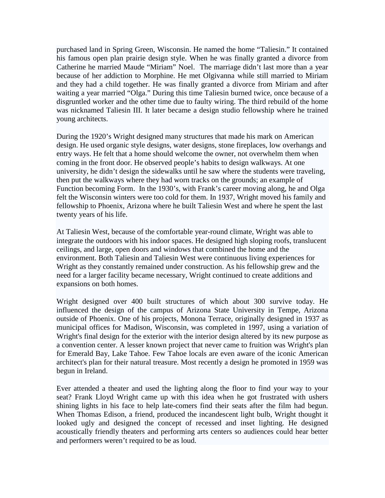purchased land in Spring Green, Wisconsin. He named the home "Taliesin." It contained his famous open plan prairie design style. When he was finally granted a divorce from Catherine he married Maude "Miriam" Noel. The marriage didn't last more than a year because of her addiction to Morphine. He met Olgivanna while still married to Miriam and they had a child together. He was finally granted a divorce from Miriam and after waiting a year married "Olga." During this time Taliesin burned twice, once because of a disgruntled worker and the other time due to faulty wiring. The third rebuild of the home was nicknamed Taliesin III. It later became a design studio fellowship where he trained young architects.

During the 1920's Wright designed many structures that made his mark on American design. He used organic style designs, water designs, stone fireplaces, low overhangs and entry ways. He felt that a home should welcome the owner, not overwhelm them when coming in the front door. He observed people's habits to design walkways. At one university, he didn't design the sidewalks until he saw where the students were traveling, then put the walkways where they had worn tracks on the grounds; an example of Function becoming Form. In the 1930's, with Frank's career moving along, he and Olga felt the Wisconsin winters were too cold for them. In 1937, Wright moved his family and fellowship to Phoenix, Arizona where he built Taliesin West and where he spent the last twenty years of his life.

At Taliesin West, because of the comfortable year-round climate, Wright was able to integrate the outdoors with his indoor spaces. He designed high sloping roofs, translucent ceilings, and large, open doors and windows that combined the home and the environment. Both Taliesin and Taliesin West were continuous living experiences for Wright as they constantly remained under construction. As his fellowship grew and the need for a larger facility became necessary, Wright continued to create additions and expansions on both homes.

Wright designed over 400 built structures of which about 300 survive [today.](http://en.wikipedia.org/wiki/As_of_2005) He influenced the design of the campus of Arizona State University in Tempe, Arizona outside of Phoenix. One of his projects, [Monona Terrace,](http://en.wikipedia.org/wiki/Monona_Terrace) originally designed in 1937 as municipal offices for Madison, Wisconsin, was completed in 1997, using a variation of Wright's final design for the exterior with the interior design altered by its new purpose as a convention center. A lesser known project that never came to fruition was Wright's plan for EmeraldBay, [Lake Tahoe.](http://en.wikipedia.org/wiki/Lake_Tahoe) Few Tahoe locals are even aware of the iconic American architect's plan for their natural treasure. Most recently a design he promoted in 1959 was begun in Ireland.

Ever attended a theater and used the lighting along the floor to find your way to your seat? Frank Lloyd Wright came up with this idea when he got frustrated with ushers shining lights in his face to help late-comers find their seats after the film had begun. When Thomas Edison, a friend, produced the incandescent light bulb, Wright thought it looked ugly and designed the concept of recessed and inset lighting. He designed acoustically friendly theaters and performing arts centers so audiences could hear better and performers weren't required to be as loud.